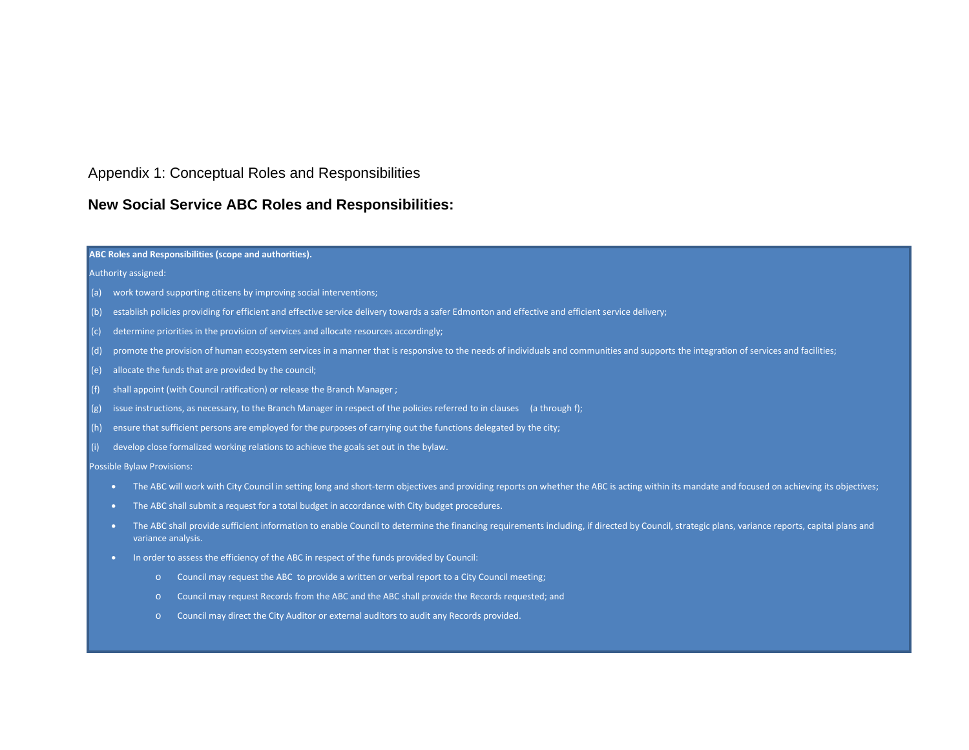## Appendix 1: Conceptual Roles and Responsibilities

## **New Social Service ABC Roles and Responsibilities:**

### **ABC Roles and Responsibilities (scope and authorities).**

 $\overline{a}$ 

#### Authority assigned:

- (a) work toward supporting citizens by improving social interventions;
- (b) establish policies providing for efficient and effective service delivery towards a safer Edmonton and effective and efficient service delivery;
- (c) determine priorities in the provision of services and allocate resources accordingly;
- (d) promote the provision of human ecosystem services in a manner that is responsive to the needs of individuals and communities and supports the integration of services and facilities;
- (e) allocate the funds that are provided by the council;
- (f) shall appoint (with Council ratification) or release the Branch Manager ;
- (g) issue instructions, as necessary, to the Branch Manager in respect of the policies referred to in clauses (a through f);
- (h) ensure that sufficient persons are employed for the purposes of carrying out the functions delegated by the city;
- (i) develop close formalized working relations to achieve the goals set out in the bylaw.

Possible Bylaw Provisions:

- The ABC will work with City Council in setting long and short-term objectives and providing reports on whether the ABC is acting within its mandate and focused on achieving its objectives;
- The ABC shall submit a request for a total budget in accordance with City budget procedures.
- The ABC shall provide sufficient information to enable Council to determine the financing requirements including, if directed by Council, strategic plans, variance reports, capital plans and variance analysis.
- In order to assess the efficiency of the ABC in respect of the funds provided by Council:
	- o Council may request the ABC to provide a written or verbal report to a City Council meeting;
	- o Council may request Records from the ABC and the ABC shall provide the Records requested; and
	- o Council may direct the City Auditor or external auditors to audit any Records provided.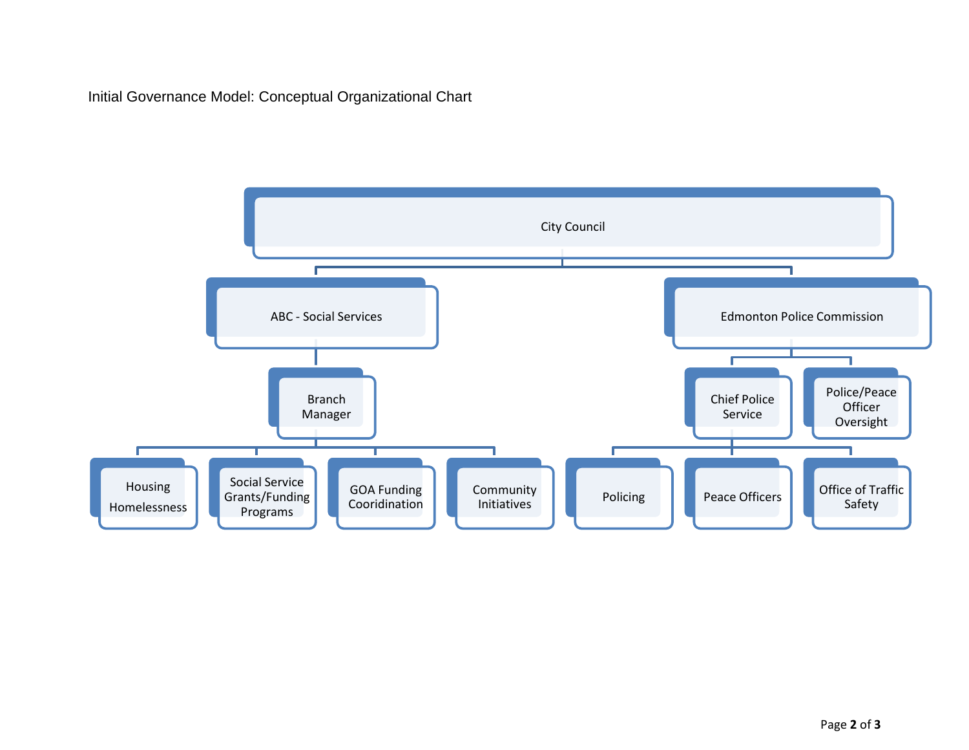Initial Governance Model: Conceptual Organizational Chart